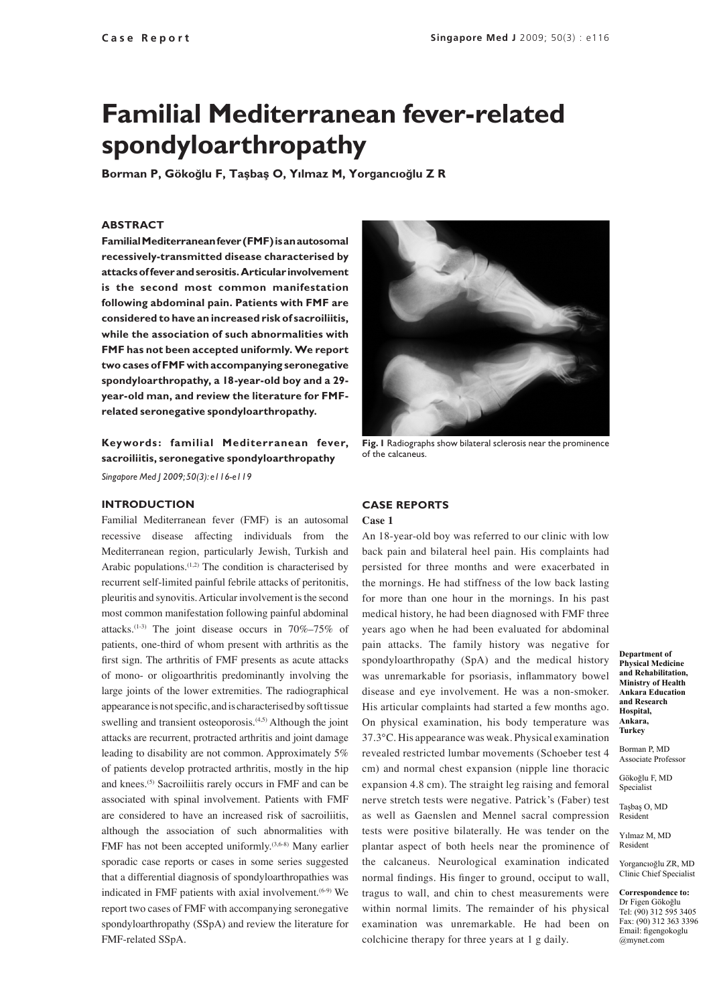# **Familial Mediterranean fever-related spondyloarthropathy**

**Borman P, Gökoğlu F, Taşbaş O, Yılmaz M, Yorgancıoğlu Z R**

## **ABSTRACT**

**Familial Mediterranean fever (FMF) is an autosomal recessively-transmitted disease characterised by attacks of fever and serositis. Articular involvement is the second most common manifestation following abdominal pain. Patients with FMF are considered to have an increased risk of sacroiliitis, while the association of such abnormalities with FMF has not been accepted uniformly. We report two cases of FMF with accompanying seronegative spondyloarthropathy, a 18-year-old boy and a 29 year-old man, and review the literature for FMFrelated seronegative spondyloarthropathy.**

**Keywords: familial Mediterranean fever, sacroiliitis, seronegative spondyloarthropathy**  *Singapore Med J 2009; 50(3): e116-e119*

#### **INTRODUCTION**

Familial Mediterranean fever (FMF) is an autosomal recessive disease affecting individuals from the Mediterranean region, particularly Jewish, Turkish and Arabic populations.<sup>(1,2)</sup> The condition is characterised by recurrent self-limited painful febrile attacks of peritonitis, pleuritis and synovitis. Articular involvement is the second most common manifestation following painful abdominal attacks.(1-3) The joint disease occurs in 70%–75% of patients, one-third of whom present with arthritis as the first sign. The arthritis of FMF presents as acute attacks of mono- or oligoarthritis predominantly involving the large joints of the lower extremities. The radiographical appearance is not specific, and is characterised by soft tissue swelling and transient osteoporosis.<sup>(4,5)</sup> Although the joint attacks are recurrent, protracted arthritis and joint damage leading to disability are not common. Approximately 5% of patients develop protracted arthritis, mostly in the hip and knees.(5) Sacroiliitis rarely occurs in FMF and can be associated with spinal involvement. Patients with FMF are considered to have an increased risk of sacroiliitis, although the association of such abnormalities with FMF has not been accepted uniformly.<sup>(3,6-8)</sup> Many earlier sporadic case reports or cases in some series suggested that a differential diagnosis of spondyloarthropathies was indicated in FMF patients with axial involvement.<sup>(6-9)</sup> We report two cases of FMF with accompanying seronegative spondyloarthropathy (SSpA) and review the literature for FMF-related SSpA.



**Fig. 1** Radiographs show bilateral sclerosis near the prominence of the calcaneus.

# **CASE REPORTS**

### **Case 1**

An 18-year-old boy was referred to our clinic with low back pain and bilateral heel pain. His complaints had persisted for three months and were exacerbated in the mornings. He had stiffness of the low back lasting for more than one hour in the mornings. In his past medical history, he had been diagnosed with FMF three years ago when he had been evaluated for abdominal pain attacks. The family history was negative for spondyloarthropathy (SpA) and the medical history was unremarkable for psoriasis, inflammatory bowel disease and eye involvement. He was a non-smoker. His articular complaints had started a few months ago. On physical examination, his body temperature was 37.3°C. His appearance was weak. Physical examination revealed restricted lumbar movements (Schoeber test 4 cm) and normal chest expansion (nipple line thoracic expansion 4.8 cm). The straight leg raising and femoral nerve stretch tests were negative. Patrick's (Faber) test as well as Gaenslen and Mennel sacral compression tests were positive bilaterally. He was tender on the plantar aspect of both heels near the prominence of the calcaneus. Neurological examination indicated normal findings. His finger to ground, occiput to wall, tragus to wall, and chin to chest measurements were within normal limits. The remainder of his physical examination was unremarkable. He had been on colchicine therapy for three years at 1 g daily.

**Department of Physical Medicine and Rehabilitation, Ministry of Health Ankara Education and Research Hospital, Ankara, Turkey**

Borman P, MD Associate Professor Gökoğlu F, MD

Specialist

Taşbaş O, MD Resident

Yılmaz M, MD Resident

Yorgancıoğlu ZR, MD Clinic Chief Specialist

**Correspondence to:** Dr Figen Gökoğlu Tel: (90) 312 595 3405 Fax: (90) 312 363 3396 Email: figengokoglu @mynet.com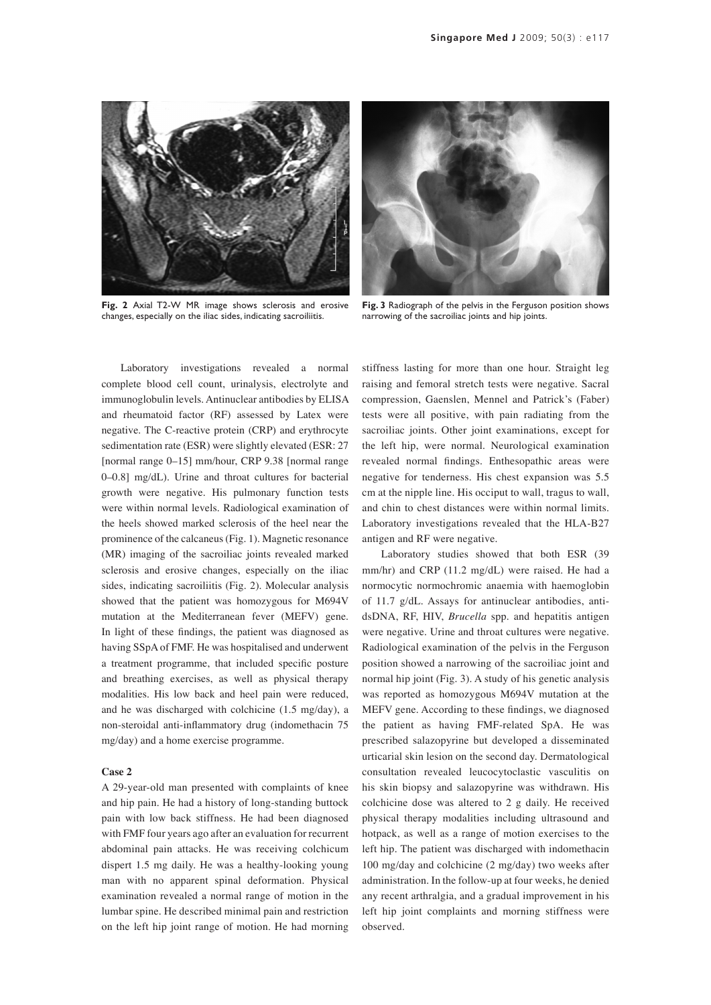

**Fig. 2** Axial T2-W MR image shows sclerosis and erosive changes, especially on the iliac sides, indicating sacroiliitis.



**Fig. 3** Radiograph of the pelvis in the Ferguson position shows narrowing of the sacroiliac joints and hip joints.

Laboratory investigations revealed a normal complete blood cell count, urinalysis, electrolyte and immunoglobulin levels. Antinuclear antibodies by ELISA and rheumatoid factor (RF) assessed by Latex were negative. The C-reactive protein (CRP) and erythrocyte sedimentation rate (ESR) were slightly elevated (ESR: 27 [normal range 0–15] mm/hour, CRP 9.38 [normal range 0–0.8] mg/dL). Urine and throat cultures for bacterial growth were negative. His pulmonary function tests were within normal levels. Radiological examination of the heels showed marked sclerosis of the heel near the prominence of the calcaneus (Fig. 1). Magnetic resonance (MR) imaging of the sacroiliac joints revealed marked sclerosis and erosive changes, especially on the iliac sides, indicating sacroiliitis (Fig. 2). Molecular analysis showed that the patient was homozygous for M694V mutation at the Mediterranean fever (MEFV) gene. In light of these findings, the patient was diagnosed as having SSpA of FMF. He was hospitalised and underwent a treatment programme, that included specific posture and breathing exercises, as well as physical therapy modalities. His low back and heel pain were reduced, and he was discharged with colchicine (1.5 mg/day), a non-steroidal anti-inflammatory drug (indomethacin 75 mg/day) and a home exercise programme.

#### **Case 2**

A 29-year-old man presented with complaints of knee and hip pain. He had a history of long-standing buttock pain with low back stiffness. He had been diagnosed with FMF four years ago after an evaluation for recurrent abdominal pain attacks. He was receiving colchicum dispert 1.5 mg daily. He was a healthy-looking young man with no apparent spinal deformation. Physical examination revealed a normal range of motion in the lumbar spine. He described minimal pain and restriction on the left hip joint range of motion. He had morning stiffness lasting for more than one hour. Straight leg raising and femoral stretch tests were negative. Sacral compression, Gaenslen, Mennel and Patrick's (Faber) tests were all positive, with pain radiating from the sacroiliac joints. Other joint examinations, except for the left hip, were normal. Neurological examination revealed normal findings. Enthesopathic areas were negative for tenderness. His chest expansion was 5.5 cm at the nipple line. His occiput to wall, tragus to wall, and chin to chest distances were within normal limits. Laboratory investigations revealed that the HLA-B27 antigen and RF were negative.

Laboratory studies showed that both ESR (39 mm/hr) and CRP (11.2 mg/dL) were raised. He had a normocytic normochromic anaemia with haemoglobin of 11.7 g/dL. Assays for antinuclear antibodies, antidsDNA, RF, HIV, *Brucella* spp. and hepatitis antigen were negative. Urine and throat cultures were negative. Radiological examination of the pelvis in the Ferguson position showed a narrowing of the sacroiliac joint and normal hip joint (Fig. 3). A study of his genetic analysis was reported as homozygous M694V mutation at the MEFV gene. According to these findings, we diagnosed the patient as having FMF-related SpA. He was prescribed salazopyrine but developed a disseminated urticarial skin lesion on the second day. Dermatological consultation revealed leucocytoclastic vasculitis on his skin biopsy and salazopyrine was withdrawn. His colchicine dose was altered to 2 g daily. He received physical therapy modalities including ultrasound and hotpack, as well as a range of motion exercises to the left hip. The patient was discharged with indomethacin 100 mg/day and colchicine (2 mg/day) two weeks after administration. In the follow-up at four weeks, he denied any recent arthralgia, and a gradual improvement in his left hip joint complaints and morning stiffness were observed.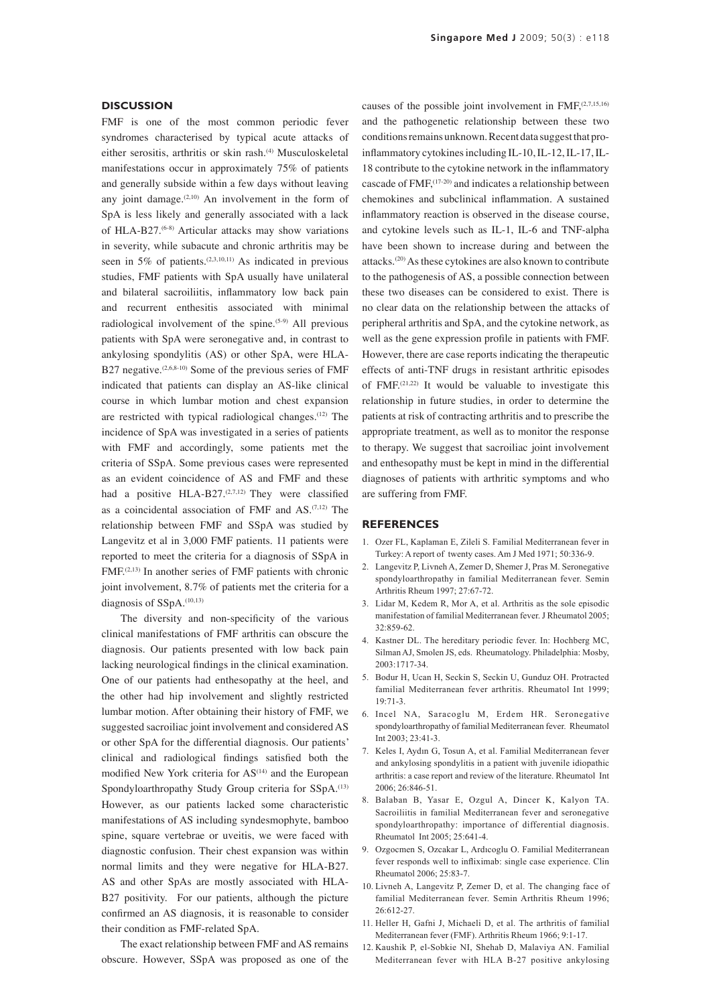#### **DISCUSSION**

FMF is one of the most common periodic fever syndromes characterised by typical acute attacks of either serositis, arthritis or skin rash.<sup>(4)</sup> Musculoskeletal manifestations occur in approximately 75% of patients and generally subside within a few days without leaving any joint damage.<sup>(2,10)</sup> An involvement in the form of SpA is less likely and generally associated with a lack of HLA-B27.(6-8) Articular attacks may show variations in severity, while subacute and chronic arthritis may be seen in 5% of patients. $(2,3,10,11)$  As indicated in previous studies, FMF patients with SpA usually have unilateral and bilateral sacroiliitis, inflammatory low back pain and recurrent enthesitis associated with minimal radiological involvement of the spine.<sup>(5-9)</sup> All previous patients with SpA were seronegative and, in contrast to ankylosing spondylitis (AS) or other SpA, were HLA-B27 negative.<sup>(2,6,8-10)</sup> Some of the previous series of FMF indicated that patients can display an AS-like clinical course in which lumbar motion and chest expansion are restricted with typical radiological changes.(12) The incidence of SpA was investigated in a series of patients with FMF and accordingly, some patients met the criteria of SSpA. Some previous cases were represented as an evident coincidence of AS and FMF and these had a positive HLA-B27. $(2,7,12)$  They were classified as a coincidental association of FMF and AS.(7,12) The relationship between FMF and SSpA was studied by Langevitz et al in 3,000 FMF patients. 11 patients were reported to meet the criteria for a diagnosis of SSpA in FMF.(2,13) In another series of FMF patients with chronic joint involvement, 8.7% of patients met the criteria for a diagnosis of SSpA.<sup>(10,13)</sup>

The diversity and non-specificity of the various clinical manifestations of FMF arthritis can obscure the diagnosis. Our patients presented with low back pain lacking neurological findings in the clinical examination. One of our patients had enthesopathy at the heel, and the other had hip involvement and slightly restricted lumbar motion. After obtaining their history of FMF, we suggested sacroiliac joint involvement and considered AS or other SpA for the differential diagnosis. Our patients' clinical and radiological findings satisfied both the modified New York criteria for  $AS<sup>(14)</sup>$  and the European Spondyloarthropathy Study Group criteria for SSpA.<sup>(13)</sup> However, as our patients lacked some characteristic manifestations of AS including syndesmophyte, bamboo spine, square vertebrae or uveitis, we were faced with diagnostic confusion. Their chest expansion was within normal limits and they were negative for HLA-B27. AS and other SpAs are mostly associated with HLA-B27 positivity. For our patients, although the picture confirmed an AS diagnosis, it is reasonable to consider their condition as FMF-related SpA.

The exact relationship between FMF and AS remains obscure. However, SSpA was proposed as one of the

causes of the possible joint involvement in FMF, (2,7,15,16) and the pathogenetic relationship between these two conditions remains unknown. Recent data suggest that proinflammatory cytokines including IL-10, IL-12, IL-17, IL-18 contribute to the cytokine network in the inflammatory cascade of FMF,(17-20) and indicates a relationship between chemokines and subclinical inflammation. A sustained inflammatory reaction is observed in the disease course, and cytokine levels such as IL-1, IL-6 and TNF-alpha have been shown to increase during and between the attacks.(20) As these cytokines are also known to contribute to the pathogenesis of AS, a possible connection between these two diseases can be considered to exist. There is no clear data on the relationship between the attacks of peripheral arthritis and SpA, and the cytokine network, as well as the gene expression profile in patients with FMF. However, there are case reports indicating the therapeutic effects of anti-TNF drugs in resistant arthritic episodes of FMF.(21,22) It would be valuable to investigate this relationship in future studies, in order to determine the patients at risk of contracting arthritis and to prescribe the appropriate treatment, as well as to monitor the response to therapy. We suggest that sacroiliac joint involvement and enthesopathy must be kept in mind in the differential diagnoses of patients with arthritic symptoms and who are suffering from FMF.

#### **REFERENCES**

- 1. Ozer FL, Kaplaman E, Zileli S. Familial Mediterranean fever in Turkey: A report of twenty cases. Am J Med 1971; 50:336-9.
- 2. Langevitz P, Livneh A, Zemer D, Shemer J, Pras M. Seronegative spondyloarthropathy in familial Mediterranean fever. Semin Arthritis Rheum 1997; 27:67-72.
- 3. Lidar M, Kedem R, Mor A, et al. Arthritis as the sole episodic manifestation of familial Mediterranean fever. J Rheumatol 2005;  $32.859-62$
- 4. Kastner DL. The hereditary periodic fever. In: Hochberg MC, Silman AJ, Smolen JS, eds. Rheumatology. Philadelphia: Mosby, 2003:1717-34.
- 5. Bodur H, Ucan H, Seckin S, Seckin U, Gunduz OH. Protracted familial Mediterranean fever arthritis. Rheumatol Int 1999; 19:71-3.
- 6. Incel NA, Saracoglu M, Erdem HR. Seronegative spondyloarthropathy of familial Mediterranean fever. Rheumatol Int 2003; 23:41-3.
- 7. Keles I, Aydın G, Tosun A, et al. Familial Mediterranean fever and ankylosing spondylitis in a patient with juvenile idiopathic arthritis: a case report and review of the literature. Rheumatol Int 2006; 26:846-51.
- 8. Balaban B, Yasar E, Ozgul A, Dincer K, Kalyon TA. Sacroiliitis in familial Mediterranean fever and seronegative spondyloarthropathy: importance of differential diagnosis. Rheumatol Int 2005; 25:641-4.
- 9. Ozgocmen S, Ozcakar L, Ardıcoglu O. Familial Mediterranean fever responds well to infliximab: single case experience. Clin Rheumatol 2006; 25:83-7.
- 10. Livneh A, Langevitz P, Zemer D, et al. The changing face of familial Mediterranean fever. Semin Arthritis Rheum 1996; 26:612-27.
- 11. Heller H, Gafni J, Michaeli D, et al. The arthritis of familial Mediterranean fever (FMF). Arthritis Rheum 1966; 9:1-17.
- 12. Kaushik P, el-Sobkie NI, Shehab D, Malaviya AN. Familial Mediterranean fever with HLA B-27 positive ankylosing